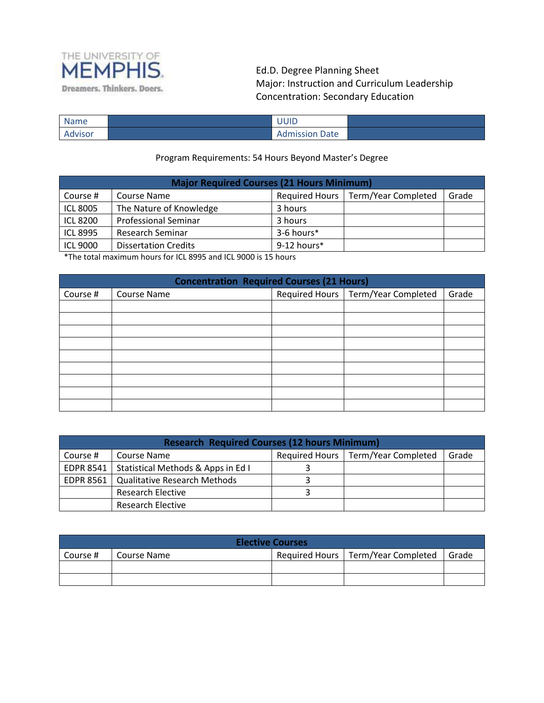

## Ed.D. Degree Planning Sheet Major: Instruction and Curriculum Leadership Concentration: Secondary Education

| <b>Name</b> | UUID                     |  |
|-------------|--------------------------|--|
| Advisor     | <b>Date</b><br>Admission |  |

## Program Requirements: 54 Hours Beyond Master's Degree

| <b>Major Required Courses (21 Hours Minimum)</b> |                             |               |                                      |       |
|--------------------------------------------------|-----------------------------|---------------|--------------------------------------|-------|
| Course #                                         | Course Name                 |               | Required Hours   Term/Year Completed | Grade |
| <b>ICL 8005</b>                                  | The Nature of Knowledge     | 3 hours       |                                      |       |
| <b>ICL 8200</b>                                  | <b>Professional Seminar</b> | 3 hours       |                                      |       |
| <b>ICL 8995</b>                                  | Research Seminar            | 3-6 hours*    |                                      |       |
| <b>ICL 9000</b>                                  | <b>Dissertation Credits</b> | $9-12$ hours* |                                      |       |

\*The total maximum hours for ICL 8995 and ICL 9000 is 15 hours

| <b>Concentration Required Courses (21 Hours)</b> |                    |  |                                      |       |
|--------------------------------------------------|--------------------|--|--------------------------------------|-------|
| Course #                                         | <b>Course Name</b> |  | Required Hours   Term/Year Completed | Grade |
|                                                  |                    |  |                                      |       |
|                                                  |                    |  |                                      |       |
|                                                  |                    |  |                                      |       |
|                                                  |                    |  |                                      |       |
|                                                  |                    |  |                                      |       |
|                                                  |                    |  |                                      |       |
|                                                  |                    |  |                                      |       |
|                                                  |                    |  |                                      |       |
|                                                  |                    |  |                                      |       |

| <b>Research Required Courses (12 hours Minimum)</b> |                                     |  |                                      |       |
|-----------------------------------------------------|-------------------------------------|--|--------------------------------------|-------|
| Course #                                            | Course Name                         |  | Required Hours   Term/Year Completed | Grade |
| <b>EDPR 8541</b>                                    | Statistical Methods & Apps in Ed I  |  |                                      |       |
| EDPR 8561                                           | <b>Qualitative Research Methods</b> |  |                                      |       |
|                                                     | <b>Research Elective</b>            |  |                                      |       |
|                                                     | Research Elective                   |  |                                      |       |

| <b>Elective Courses</b> |             |  |                                      |       |
|-------------------------|-------------|--|--------------------------------------|-------|
| Course #                | Course Name |  | Required Hours   Term/Year Completed | Grade |
|                         |             |  |                                      |       |
|                         |             |  |                                      |       |